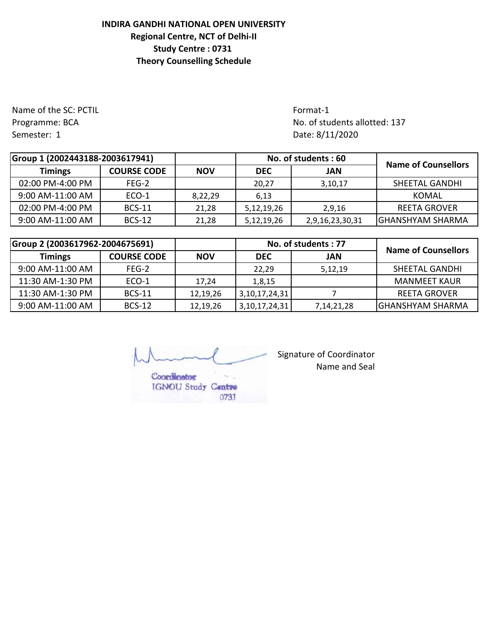## **INDIRA GANDHI NATIONAL OPEN UNIVERSITY Regional Centre, NCT of Delhi-II Study Centre : 0731 Theory Counselling Schedule**

Name of the SC: PCTIL **Format-1** Semester: 1 Date: 8/11/2020

Programme: BCA No. of students allotted: 137

| Group 1 (2002443188-2003617941) |                    |            | No. of students: 60 |                 | <b>Name of Counsellors</b> |  |
|---------------------------------|--------------------|------------|---------------------|-----------------|----------------------------|--|
| <b>Timings</b>                  | <b>COURSE CODE</b> | <b>NOV</b> | <b>DEC</b>          | JAN             |                            |  |
| 02:00 PM-4:00 PM                | FEG-2              |            | 20.27               | 3,10,17         | SHEETAL GANDHI             |  |
| 9:00 AM-11:00 AM                | ECO-1              | 8,22,29    | 6,13                |                 | KOMAL                      |  |
| 02:00 PM-4:00 PM                | <b>BCS-11</b>      | 21,28      | 5,12,19,26          | 2,9,16          | REETA GROVER               |  |
| 9:00 AM-11:00 AM                | <b>BCS-12</b>      | 21,28      | 5,12,19,26          | 2,9,16,23,30,31 | <b>GHANSHYAM SHARMA</b>    |  |

| Group 2 (2003617962-2004675691) |                    |            |               | No. of students: 77 | <b>Name of Counsellors</b> |  |
|---------------------------------|--------------------|------------|---------------|---------------------|----------------------------|--|
| <b>Timings</b>                  | <b>COURSE CODE</b> | <b>NOV</b> | <b>DEC</b>    | JAN                 |                            |  |
| 9:00 AM-11:00 AM                | FEG-2              |            | 22.29         | 5,12,19             | <b>SHEETAL GANDHI</b>      |  |
| 11:30 AM-1:30 PM                | ECO-1              | 17.24      | 1,8,15        |                     | <b>MANMEET KAUR</b>        |  |
| 11:30 AM-1:30 PM                | <b>BCS-11</b>      | 12,19,26   | 3,10,17,24,31 |                     | <b>REETA GROVER</b>        |  |
| 9:00 AM-11:00 AM                | <b>BCS-12</b>      | 12,19,26   | 3,10,17,24,31 | 7, 14, 21, 28       | <b>GHANSHYAM SHARMA</b>    |  |

Coordinator

IGNOU Study Contro

0731

Signature of Coordinator Name and Seal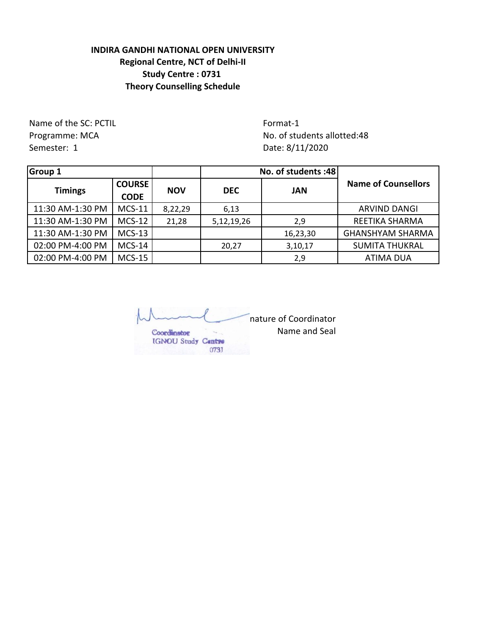## **INDIRA GANDHI NATIONAL OPEN UNIVERSITY Regional Centre, NCT of Delhi-II Study Centre : 0731 Theory Counselling Schedule**

Name of the SC: PCTIL Format-1 Semester: 1 Date: 8/11/2020

Programme: MCA No. of students allotted:48

| <b>Group 1</b>   |                              |            |                          | No. of students :48 | <b>Name of Counsellors</b> |
|------------------|------------------------------|------------|--------------------------|---------------------|----------------------------|
| <b>Timings</b>   | <b>COURSE</b><br><b>CODE</b> | <b>NOV</b> | <b>DEC</b><br><b>JAN</b> |                     |                            |
| 11:30 AM-1:30 PM | <b>MCS-11</b>                | 8,22,29    | 6,13                     |                     | <b>ARVIND DANGI</b>        |
| 11:30 AM-1:30 PM | $MCS-12$                     | 21,28      | 5,12,19,26               | 2,9                 | REETIKA SHARMA             |
| 11:30 AM-1:30 PM | $MCS-13$                     |            |                          | 16,23,30            | <b>GHANSHYAM SHARMA</b>    |
| 02:00 PM-4:00 PM | $MCS-14$                     |            | 20,27                    | 3,10,17             | <b>SUMITA THUKRAL</b>      |
| 02:00 PM-4:00 PM | $MCS-15$                     |            |                          | 2,9                 | <b>ATIMA DUA</b>           |

nature of Coordinator Name and Seal Coordinator IGNOU Study Centre 0731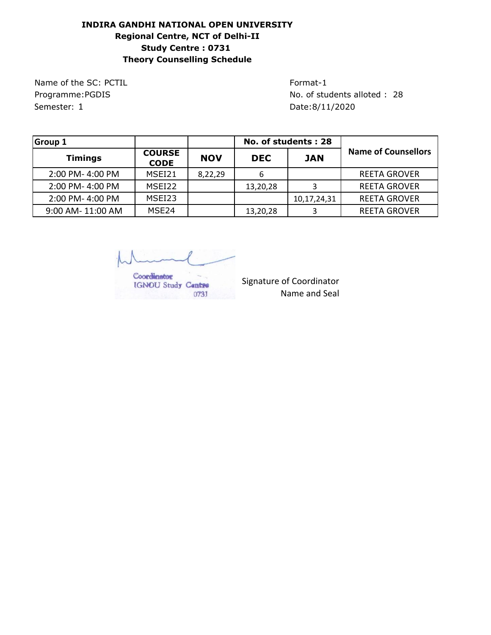## **INDIRA GANDHI NATIONAL OPEN UNIVERSITY Regional Centre, NCT of Delhi-II Study Centre : 0731 Theory Counselling Schedule**

Name of the SC: PCTIL Format-1 Semester: 1 Date:8/11/2020

Programme:PGDIS No. of students alloted : 28

| <b>Group 1</b>    |                              |            | No. of students: 28 |             |                            |  |
|-------------------|------------------------------|------------|---------------------|-------------|----------------------------|--|
| <b>Timings</b>    | <b>COURSE</b><br><b>CODE</b> | <b>NOV</b> | <b>DEC</b>          | <b>JAN</b>  | <b>Name of Counsellors</b> |  |
| 2:00 PM-4:00 PM   | MSEI21                       | 8,22,29    | 6                   |             | <b>REETA GROVER</b>        |  |
| 2:00 PM-4:00 PM   | MSEI22                       |            | 13,20,28            |             | <b>REETA GROVER</b>        |  |
| 2:00 PM-4:00 PM   | MSEI23                       |            |                     | 10,17,24,31 | <b>REETA GROVER</b>        |  |
| 9:00 AM- 11:00 AM | MSE <sub>24</sub>            |            | 13,20,28            |             | <b>REETA GROVER</b>        |  |

Coordinator IGNOU Study Centre 0731

Signature of Coordinator Name and Seal